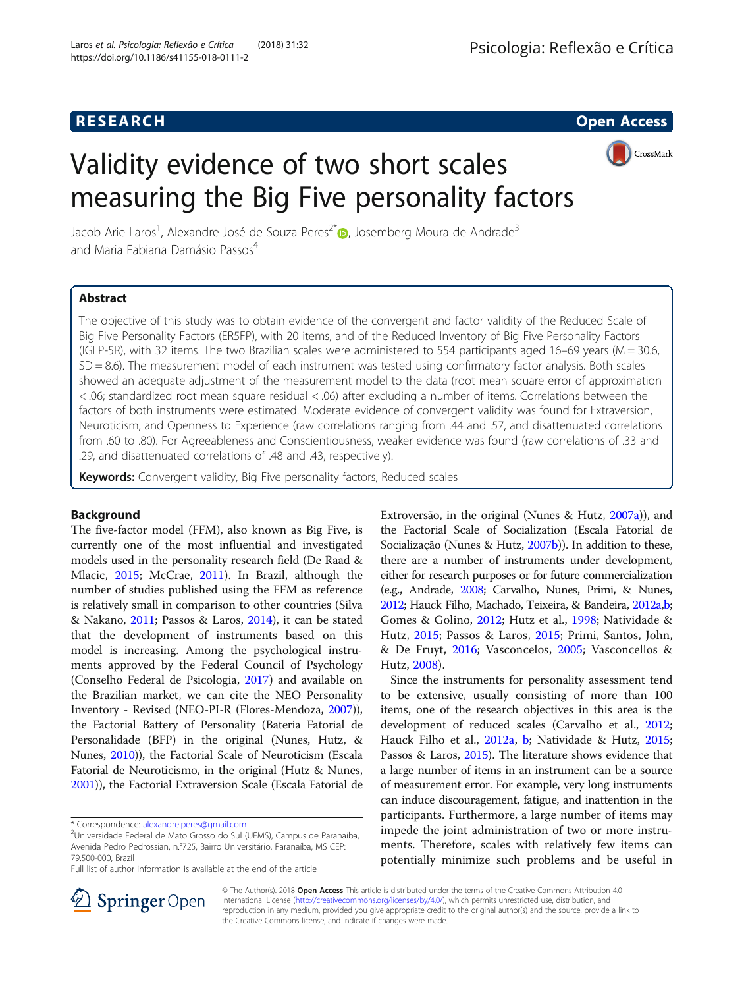## **RESEARCH CHE Open Access**

CrossMark

# Validity evidence of two short scales measuring the Big Five personality factors

Jacob Arie Laros<sup>1</sup>[,](http://orcid.org/0000-0002-3472-6120) Alexandre José de Souza Peres<sup>2\*</sup>. Josemberg Moura de Andrade<sup>3</sup> and Maria Fabiana Damásio Passos<sup>4</sup>

## Abstract

The objective of this study was to obtain evidence of the convergent and factor validity of the Reduced Scale of Big Five Personality Factors (ER5FP), with 20 items, and of the Reduced Inventory of Big Five Personality Factors (IGFP-5R), with 32 items. The two Brazilian scales were administered to 554 participants aged 16–69 years (M = 30.6, SD = 8.6). The measurement model of each instrument was tested using confirmatory factor analysis. Both scales showed an adequate adjustment of the measurement model to the data (root mean square error of approximation < .06; standardized root mean square residual < .06) after excluding a number of items. Correlations between the factors of both instruments were estimated. Moderate evidence of convergent validity was found for Extraversion, Neuroticism, and Openness to Experience (raw correlations ranging from .44 and .57, and disattenuated correlations from .60 to .80). For Agreeableness and Conscientiousness, weaker evidence was found (raw correlations of .33 and .29, and disattenuated correlations of .48 and .43, respectively).

Keywords: Convergent validity, Big Five personality factors, Reduced scales

## Background

The five-factor model (FFM), also known as Big Five, is currently one of the most influential and investigated models used in the personality research field (De Raad & Mlacic, [2015;](#page-9-0) McCrae, [2011\)](#page-9-0). In Brazil, although the number of studies published using the FFM as reference is relatively small in comparison to other countries (Silva & Nakano, [2011](#page-9-0); Passos & Laros, [2014](#page-9-0)), it can be stated that the development of instruments based on this model is increasing. Among the psychological instruments approved by the Federal Council of Psychology (Conselho Federal de Psicologia, [2017\)](#page-9-0) and available on the Brazilian market, we can cite the NEO Personality Inventory - Revised (NEO-PI-R (Flores-Mendoza, [2007](#page-9-0))), the Factorial Battery of Personality (Bateria Fatorial de Personalidade (BFP) in the original (Nunes, Hutz, & Nunes, [2010\)](#page-9-0)), the Factorial Scale of Neuroticism (Escala Fatorial de Neuroticismo, in the original (Hutz & Nunes, [2001\)](#page-9-0)), the Factorial Extraversion Scale (Escala Fatorial de

Extroversão, in the original (Nunes & Hutz, [2007a\)](#page-9-0)), and the Factorial Scale of Socialization (Escala Fatorial de Socialização (Nunes & Hutz, [2007b\)](#page-9-0)). In addition to these, there are a number of instruments under development, either for research purposes or for future commercialization (e.g., Andrade, [2008](#page-9-0); Carvalho, Nunes, Primi, & Nunes, [2012](#page-9-0); Hauck Filho, Machado, Teixeira, & Bandeira, [2012a](#page-9-0),[b](#page-9-0); Gomes & Golino, [2012](#page-9-0); Hutz et al., [1998;](#page-9-0) Natividade & Hutz, [2015;](#page-9-0) Passos & Laros, [2015;](#page-9-0) Primi, Santos, John, & De Fruyt, [2016](#page-9-0); Vasconcelos, [2005;](#page-9-0) Vasconcellos & Hutz, [2008\)](#page-9-0).

Since the instruments for personality assessment tend to be extensive, usually consisting of more than 100 items, one of the research objectives in this area is the development of reduced scales (Carvalho et al., [2012](#page-9-0); Hauck Filho et al., [2012a](#page-9-0), [b;](#page-9-0) Natividade & Hutz, [2015](#page-9-0); Passos & Laros, [2015\)](#page-9-0). The literature shows evidence that a large number of items in an instrument can be a source of measurement error. For example, very long instruments can induce discouragement, fatigue, and inattention in the participants. Furthermore, a large number of items may impede the joint administration of two or more instruments. Therefore, scales with relatively few items can potentially minimize such problems and be useful in



© The Author(s). 2018 Open Access This article is distributed under the terms of the Creative Commons Attribution 4.0 International License ([http://creativecommons.org/licenses/by/4.0/\)](http://creativecommons.org/licenses/by/4.0/), which permits unrestricted use, distribution, and reproduction in any medium, provided you give appropriate credit to the original author(s) and the source, provide a link to the Creative Commons license, and indicate if changes were made.

<sup>\*</sup> Correspondence: [alexandre.peres@gmail.com](mailto:alexandre.peres@gmail.com) <sup>2</sup>

<sup>&</sup>lt;sup>2</sup>Universidade Federal de Mato Grosso do Sul (UFMS), Campus de Paranaíba, Avenida Pedro Pedrossian, n.°725, Bairro Universitário, Paranaíba, MS CEP: 79.500-000, Brazil

Full list of author information is available at the end of the article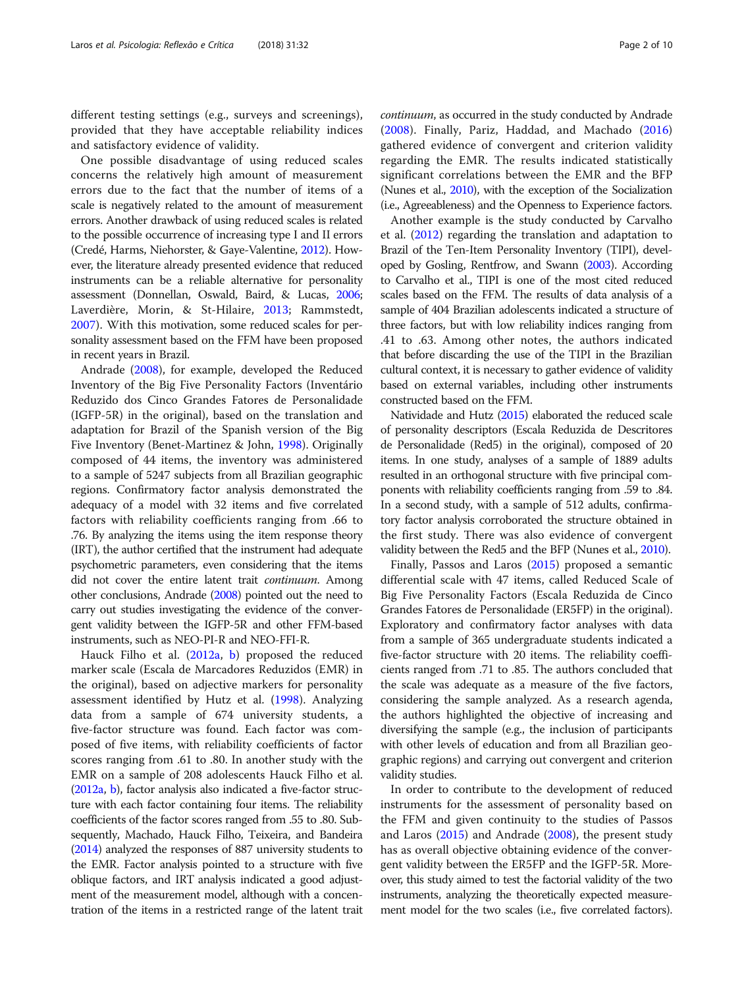different testing settings (e.g., surveys and screenings), provided that they have acceptable reliability indices and satisfactory evidence of validity.

One possible disadvantage of using reduced scales concerns the relatively high amount of measurement errors due to the fact that the number of items of a scale is negatively related to the amount of measurement errors. Another drawback of using reduced scales is related to the possible occurrence of increasing type I and II errors (Credé, Harms, Niehorster, & Gaye-Valentine, [2012](#page-9-0)). However, the literature already presented evidence that reduced instruments can be a reliable alternative for personality assessment (Donnellan, Oswald, Baird, & Lucas, [2006](#page-9-0); Laverdière, Morin, & St-Hilaire, [2013](#page-9-0); Rammstedt, [2007\)](#page-9-0). With this motivation, some reduced scales for personality assessment based on the FFM have been proposed in recent years in Brazil.

Andrade [\(2008](#page-9-0)), for example, developed the Reduced Inventory of the Big Five Personality Factors (Inventário Reduzido dos Cinco Grandes Fatores de Personalidade (IGFP-5R) in the original), based on the translation and adaptation for Brazil of the Spanish version of the Big Five Inventory (Benet-Martinez & John, [1998\)](#page-9-0). Originally composed of 44 items, the inventory was administered to a sample of 5247 subjects from all Brazilian geographic regions. Confirmatory factor analysis demonstrated the adequacy of a model with 32 items and five correlated factors with reliability coefficients ranging from .66 to .76. By analyzing the items using the item response theory (IRT), the author certified that the instrument had adequate psychometric parameters, even considering that the items did not cover the entire latent trait *continuum*. Among other conclusions, Andrade [\(2008](#page-9-0)) pointed out the need to carry out studies investigating the evidence of the convergent validity between the IGFP-5R and other FFM-based instruments, such as NEO-PI-R and NEO-FFI-R.

Hauck Filho et al. [\(2012a](#page-9-0), [b\)](#page-9-0) proposed the reduced marker scale (Escala de Marcadores Reduzidos (EMR) in the original), based on adjective markers for personality assessment identified by Hutz et al. ([1998\)](#page-9-0). Analyzing data from a sample of 674 university students, a five-factor structure was found. Each factor was composed of five items, with reliability coefficients of factor scores ranging from .61 to .80. In another study with the EMR on a sample of 208 adolescents Hauck Filho et al. ([2012a](#page-9-0), [b](#page-9-0)), factor analysis also indicated a five-factor structure with each factor containing four items. The reliability coefficients of the factor scores ranged from .55 to .80. Subsequently, Machado, Hauck Filho, Teixeira, and Bandeira ([2014\)](#page-9-0) analyzed the responses of 887 university students to the EMR. Factor analysis pointed to a structure with five oblique factors, and IRT analysis indicated a good adjustment of the measurement model, although with a concentration of the items in a restricted range of the latent trait continuum, as occurred in the study conducted by Andrade ([2008\)](#page-9-0). Finally, Pariz, Haddad, and Machado [\(2016](#page-9-0)) gathered evidence of convergent and criterion validity regarding the EMR. The results indicated statistically significant correlations between the EMR and the BFP (Nunes et al., [2010\)](#page-9-0), with the exception of the Socialization (i.e., Agreeableness) and the Openness to Experience factors.

Another example is the study conducted by Carvalho et al. ([2012\)](#page-9-0) regarding the translation and adaptation to Brazil of the Ten-Item Personality Inventory (TIPI), developed by Gosling, Rentfrow, and Swann [\(2003\)](#page-9-0). According to Carvalho et al., TIPI is one of the most cited reduced scales based on the FFM. The results of data analysis of a sample of 404 Brazilian adolescents indicated a structure of three factors, but with low reliability indices ranging from .41 to .63. Among other notes, the authors indicated that before discarding the use of the TIPI in the Brazilian cultural context, it is necessary to gather evidence of validity based on external variables, including other instruments constructed based on the FFM.

Natividade and Hutz [\(2015](#page-9-0)) elaborated the reduced scale of personality descriptors (Escala Reduzida de Descritores de Personalidade (Red5) in the original), composed of 20 items. In one study, analyses of a sample of 1889 adults resulted in an orthogonal structure with five principal components with reliability coefficients ranging from .59 to .84. In a second study, with a sample of 512 adults, confirmatory factor analysis corroborated the structure obtained in the first study. There was also evidence of convergent validity between the Red5 and the BFP (Nunes et al., [2010](#page-9-0)).

Finally, Passos and Laros [\(2015\)](#page-9-0) proposed a semantic differential scale with 47 items, called Reduced Scale of Big Five Personality Factors (Escala Reduzida de Cinco Grandes Fatores de Personalidade (ER5FP) in the original). Exploratory and confirmatory factor analyses with data from a sample of 365 undergraduate students indicated a five-factor structure with 20 items. The reliability coefficients ranged from .71 to .85. The authors concluded that the scale was adequate as a measure of the five factors, considering the sample analyzed. As a research agenda, the authors highlighted the objective of increasing and diversifying the sample (e.g., the inclusion of participants with other levels of education and from all Brazilian geographic regions) and carrying out convergent and criterion validity studies.

In order to contribute to the development of reduced instruments for the assessment of personality based on the FFM and given continuity to the studies of Passos and Laros [\(2015\)](#page-9-0) and Andrade ([2008](#page-9-0)), the present study has as overall objective obtaining evidence of the convergent validity between the ER5FP and the IGFP-5R. Moreover, this study aimed to test the factorial validity of the two instruments, analyzing the theoretically expected measurement model for the two scales (i.e., five correlated factors).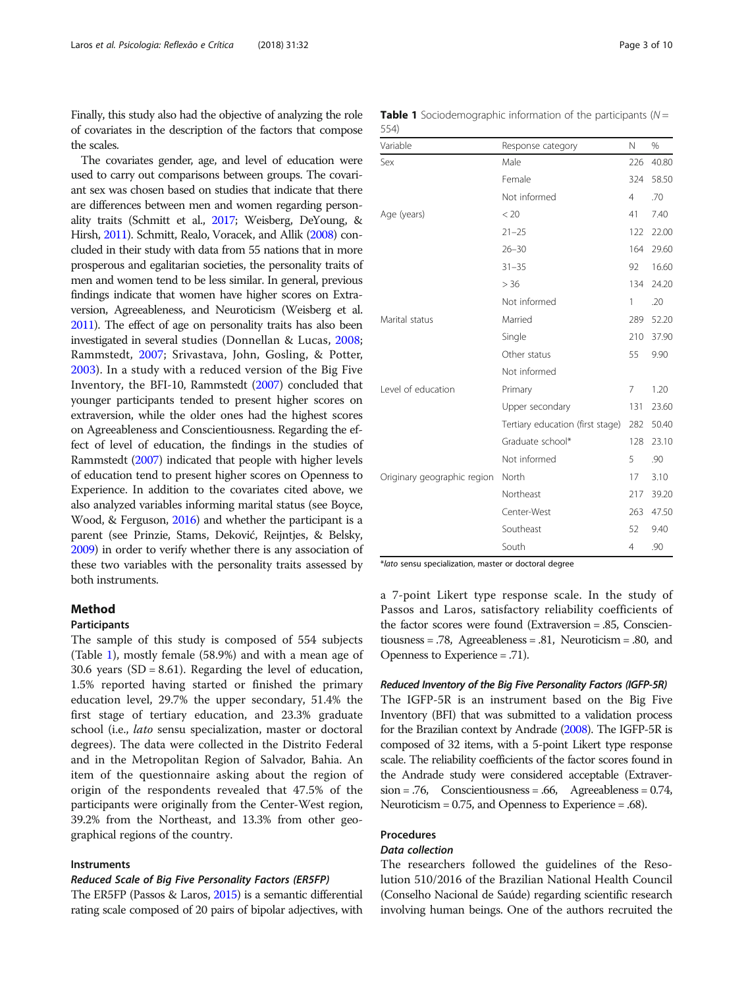<span id="page-2-0"></span>Finally, this study also had the objective of analyzing the role of covariates in the description of the factors that compose the scales.

The covariates gender, age, and level of education were used to carry out comparisons between groups. The covariant sex was chosen based on studies that indicate that there are differences between men and women regarding personality traits (Schmitt et al., [2017](#page-9-0); Weisberg, DeYoung, & Hirsh, [2011\)](#page-9-0). Schmitt, Realo, Voracek, and Allik [\(2008\)](#page-9-0) concluded in their study with data from 55 nations that in more prosperous and egalitarian societies, the personality traits of men and women tend to be less similar. In general, previous findings indicate that women have higher scores on Extraversion, Agreeableness, and Neuroticism (Weisberg et al. [2011](#page-9-0)). The effect of age on personality traits has also been investigated in several studies (Donnellan & Lucas, [2008](#page-9-0); Rammstedt, [2007](#page-9-0); Srivastava, John, Gosling, & Potter, [2003\)](#page-9-0). In a study with a reduced version of the Big Five Inventory, the BFI-10, Rammstedt ([2007\)](#page-9-0) concluded that younger participants tended to present higher scores on extraversion, while the older ones had the highest scores on Agreeableness and Conscientiousness. Regarding the effect of level of education, the findings in the studies of Rammstedt [\(2007](#page-9-0)) indicated that people with higher levels of education tend to present higher scores on Openness to Experience. In addition to the covariates cited above, we also analyzed variables informing marital status (see Boyce, Wood, & Ferguson, [2016](#page-9-0)) and whether the participant is a parent (see Prinzie, Stams, Deković, Reijntjes, & Belsky, [2009\)](#page-9-0) in order to verify whether there is any association of these two variables with the personality traits assessed by both instruments.

## Method

#### Participants

The sample of this study is composed of 554 subjects (Table 1), mostly female (58.9%) and with a mean age of 30.6 years (SD = 8.61). Regarding the level of education, 1.5% reported having started or finished the primary education level, 29.7% the upper secondary, 51.4% the first stage of tertiary education, and 23.3% graduate school (i.e., lato sensu specialization, master or doctoral degrees). The data were collected in the Distrito Federal and in the Metropolitan Region of Salvador, Bahia. An item of the questionnaire asking about the region of origin of the respondents revealed that 47.5% of the participants were originally from the Center-West region, 39.2% from the Northeast, and 13.3% from other geographical regions of the country.

## Instruments

#### Reduced Scale of Big Five Personality Factors (ER5FP)

The ER5FP (Passos & Laros, [2015\)](#page-9-0) is a semantic differential rating scale composed of 20 pairs of bipolar adjectives, with

|      | <b>Table 1</b> Sociodemographic information of the participants (N = |  |  |
|------|----------------------------------------------------------------------|--|--|
| 554) |                                                                      |  |  |

| Variable                    | Response category                | N              | %     |
|-----------------------------|----------------------------------|----------------|-------|
| Sex                         | Male                             | 226            | 40.80 |
|                             | Female                           | 324            | 58.50 |
|                             | Not informed                     | $\overline{4}$ | .70   |
| Age (years)                 | < 20                             | 41             | 7.40  |
|                             | $21 - 25$                        | 122            | 22.00 |
|                             | $26 - 30$                        | 164            | 29.60 |
|                             | $31 - 35$                        | 92             | 16.60 |
|                             | > 36                             | 134            | 24.20 |
|                             | Not informed                     | 1              | .20   |
| Marital status              | Married                          | 289            | 52.20 |
|                             | Single                           | 210            | 37.90 |
|                             | Other status                     | 55             | 9.90  |
|                             | Not informed                     |                |       |
| Level of education          | Primary                          | 7              | 1.20  |
|                             | Upper secondary                  | 131            | 23.60 |
|                             | Tertiary education (first stage) | 282            | 50.40 |
|                             | Graduate school*                 | 128            | 23.10 |
|                             | Not informed                     | 5              | .90   |
| Originary geographic region | North                            | 17             | 3.10  |
|                             | Northeast                        | 217            | 39.20 |
|                             | Center-West                      | 263            | 47.50 |
|                             | Southeast                        | 52             | 9.40  |
|                             | South                            | 4              | .90   |

\*lato sensu specialization, master or doctoral degree

a 7-point Likert type response scale. In the study of Passos and Laros, satisfactory reliability coefficients of the factor scores were found (Extraversion = .85, Conscientiousness = .78, Agreeableness = .81, Neuroticism = .80, and Openness to Experience = .71).

#### Reduced Inventory of the Big Five Personality Factors (IGFP-5R)

The IGFP-5R is an instrument based on the Big Five Inventory (BFI) that was submitted to a validation process for the Brazilian context by Andrade ([2008](#page-9-0)). The IGFP-5R is composed of 32 items, with a 5-point Likert type response scale. The reliability coefficients of the factor scores found in the Andrade study were considered acceptable (Extraver $sion = .76$ , Conscientiousness = .66, Agreeableness = 0.74, Neuroticism = 0.75, and Openness to Experience = .68).

#### Procedures

## Data collection

The researchers followed the guidelines of the Resolution 510/2016 of the Brazilian National Health Council (Conselho Nacional de Saúde) regarding scientific research involving human beings. One of the authors recruited the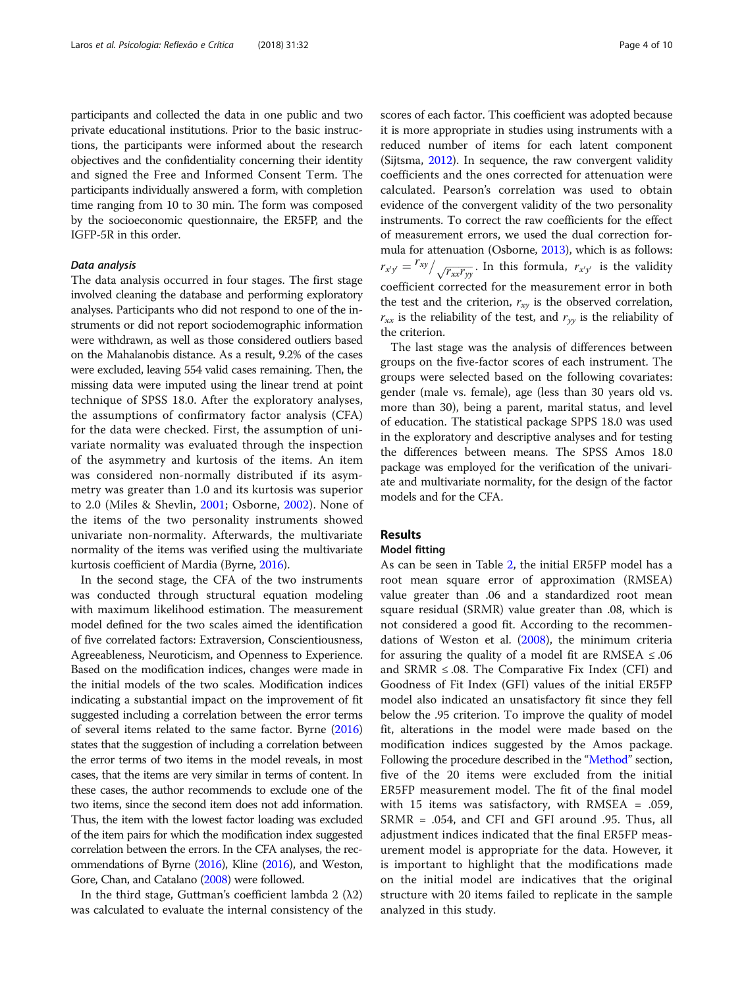participants and collected the data in one public and two private educational institutions. Prior to the basic instructions, the participants were informed about the research objectives and the confidentiality concerning their identity and signed the Free and Informed Consent Term. The participants individually answered a form, with completion time ranging from 10 to 30 min. The form was composed by the socioeconomic questionnaire, the ER5FP, and the IGFP-5R in this order.

#### Data analysis

The data analysis occurred in four stages. The first stage involved cleaning the database and performing exploratory analyses. Participants who did not respond to one of the instruments or did not report sociodemographic information were withdrawn, as well as those considered outliers based on the Mahalanobis distance. As a result, 9.2% of the cases were excluded, leaving 554 valid cases remaining. Then, the missing data were imputed using the linear trend at point technique of SPSS 18.0. After the exploratory analyses, the assumptions of confirmatory factor analysis (CFA) for the data were checked. First, the assumption of univariate normality was evaluated through the inspection of the asymmetry and kurtosis of the items. An item was considered non-normally distributed if its asymmetry was greater than 1.0 and its kurtosis was superior to 2.0 (Miles & Shevlin, [2001](#page-9-0); Osborne, [2002](#page-9-0)). None of the items of the two personality instruments showed univariate non-normality. Afterwards, the multivariate normality of the items was verified using the multivariate kurtosis coefficient of Mardia (Byrne, [2016\)](#page-9-0).

In the second stage, the CFA of the two instruments was conducted through structural equation modeling with maximum likelihood estimation. The measurement model defined for the two scales aimed the identification of five correlated factors: Extraversion, Conscientiousness, Agreeableness, Neuroticism, and Openness to Experience. Based on the modification indices, changes were made in the initial models of the two scales. Modification indices indicating a substantial impact on the improvement of fit suggested including a correlation between the error terms of several items related to the same factor. Byrne [\(2016](#page-9-0)) states that the suggestion of including a correlation between the error terms of two items in the model reveals, in most cases, that the items are very similar in terms of content. In these cases, the author recommends to exclude one of the two items, since the second item does not add information. Thus, the item with the lowest factor loading was excluded of the item pairs for which the modification index suggested correlation between the errors. In the CFA analyses, the recommendations of Byrne ([2016\)](#page-9-0), Kline [\(2016\)](#page-9-0), and Weston, Gore, Chan, and Catalano [\(2008](#page-9-0)) were followed.

In the third stage, Guttman's coefficient lambda 2 (λ2) was calculated to evaluate the internal consistency of the scores of each factor. This coefficient was adopted because it is more appropriate in studies using instruments with a reduced number of items for each latent component (Sijtsma, [2012](#page-9-0)). In sequence, the raw convergent validity coefficients and the ones corrected for attenuation were calculated. Pearson's correlation was used to obtain evidence of the convergent validity of the two personality instruments. To correct the raw coefficients for the effect of measurement errors, we used the dual correction formula for attenuation (Osborne, [2013\)](#page-9-0), which is as follows:  $r_{x'y'} = \frac{r_{xy}}{\sqrt{r_{xx}r_{yy}}}$ . In this formula,  $r_{x'y'}$  is the validity coefficient corrected for the measurement error in both the test and the criterion,  $r_{xy}$  is the observed correlation,  $r_{xx}$  is the reliability of the test, and  $r_{yy}$  is the reliability of the criterion.

The last stage was the analysis of differences between groups on the five-factor scores of each instrument. The groups were selected based on the following covariates: gender (male vs. female), age (less than 30 years old vs. more than 30), being a parent, marital status, and level of education. The statistical package SPPS 18.0 was used in the exploratory and descriptive analyses and for testing the differences between means. The SPSS Amos 18.0 package was employed for the verification of the univariate and multivariate normality, for the design of the factor models and for the CFA.

## Results

#### Model fitting

As can be seen in Table [2](#page-4-0), the initial ER5FP model has a root mean square error of approximation (RMSEA) value greater than .06 and a standardized root mean square residual (SRMR) value greater than .08, which is not considered a good fit. According to the recommendations of Weston et al. [\(2008](#page-9-0)), the minimum criteria for assuring the quality of a model fit are RMSEA  $\leq .06$ and SRMR  $\leq$  .08. The Comparative Fix Index (CFI) and Goodness of Fit Index (GFI) values of the initial ER5FP model also indicated an unsatisfactory fit since they fell below the .95 criterion. To improve the quality of model fit, alterations in the model were made based on the modification indices suggested by the Amos package. Following the procedure described in the "[Method](#page-2-0)" section, five of the 20 items were excluded from the initial ER5FP measurement model. The fit of the final model with 15 items was satisfactory, with RMSEA = .059, SRMR = .054, and CFI and GFI around .95. Thus, all adjustment indices indicated that the final ER5FP measurement model is appropriate for the data. However, it is important to highlight that the modifications made on the initial model are indicatives that the original structure with 20 items failed to replicate in the sample analyzed in this study.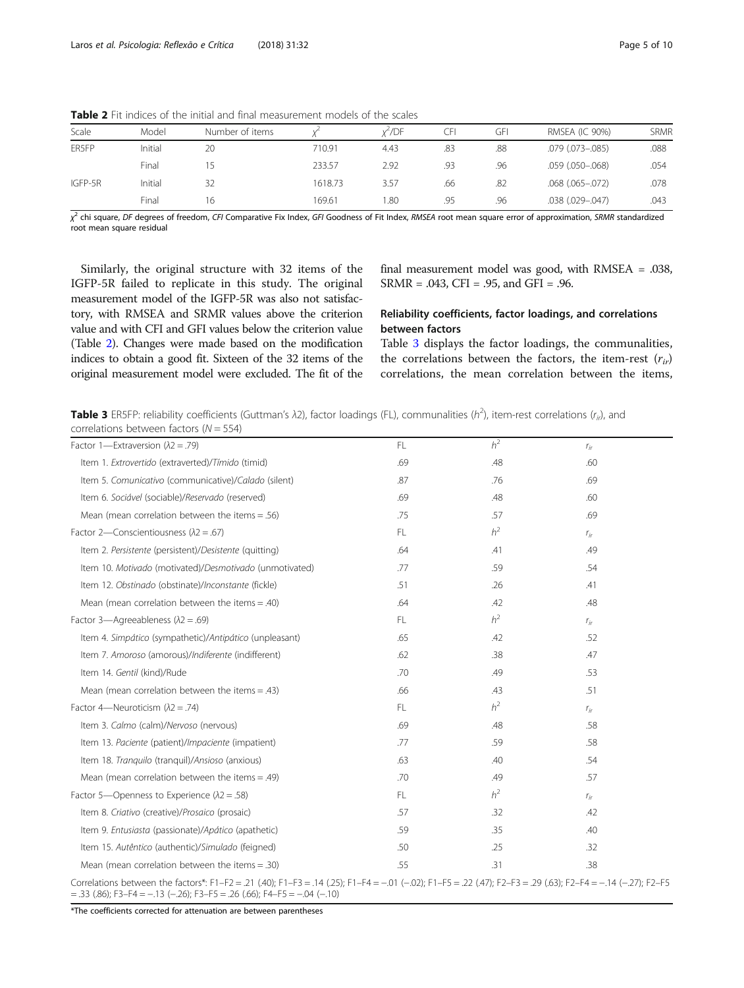| Scale   | Model   | Number of items |         | x <sup>∠</sup> /DF | ا⊦ل | GFI | <b>RMSEA (IC 90%)</b>  | <b>SRMR</b> |
|---------|---------|-----------------|---------|--------------------|-----|-----|------------------------|-------------|
| ER5FP   | Initial | 20              | 710.91  | 4.43               | .83 | .88 | $.079$ $(.073 - .085)$ | .088        |
|         | Final   |                 | 233.57  | 2.92               | .93 | .96 | $.059$ $(.050 - .068)$ | .054        |
| IGFP-5R | Initial | 32              | 1618.73 | 3.57               | .66 | .82 | $.068$ $(.065-.072)$   | .078        |
|         | Final   | 16              | 169.61  | .80                | .95 | .96 | .038 (.029 -.047)      | .043        |

<span id="page-4-0"></span>Table 2 Fit indices of the initial and final measurement models of the scales

χ<sup>2</sup> chi square, DF degrees of freedom, CFI Comparative Fix Index, GFI Goodness of Fit Index, RMSEA root mean square error of approximation, SRMR standardized<br>root mean square residual root mean square residual

Similarly, the original structure with 32 items of the IGFP-5R failed to replicate in this study. The original measurement model of the IGFP-5R was also not satisfactory, with RMSEA and SRMR values above the criterion value and with CFI and GFI values below the criterion value (Table 2). Changes were made based on the modification indices to obtain a good fit. Sixteen of the 32 items of the original measurement model were excluded. The fit of the

final measurement model was good, with RMSEA = .038, SRMR = .043, CFI = .95, and GFI = .96.

## Reliability coefficients, factor loadings, and correlations between factors

Table 3 displays the factor loadings, the communalities, the correlations between the factors, the item-rest  $(r_{ir})$ correlations, the mean correlation between the items,

**Table 3** ER5FP: reliability coefficients (Guttman's λ2), factor loadings (FL), communalities (h<sup>2</sup>), item-rest correlations (r<sub>ir</sub>), and correlations between factors ( $N = 554$ )

| Factor 1-Extraversion $(\lambda 2 = .79)$                                                                                                                                                                                                          | FL  | h <sup>2</sup> | $r_{ir}$ |
|----------------------------------------------------------------------------------------------------------------------------------------------------------------------------------------------------------------------------------------------------|-----|----------------|----------|
| Item 1. Extrovertido (extraverted)/Tímido (timid)                                                                                                                                                                                                  | .69 | .48            | .60      |
| Item 5. Comunicativo (communicative)/Calado (silent)                                                                                                                                                                                               | .87 | .76            | .69      |
| Item 6. Sociável (sociable)/Reservado (reserved)                                                                                                                                                                                                   | .69 | .48            | .60      |
| Mean (mean correlation between the items $= .56$ )                                                                                                                                                                                                 | .75 | .57            | .69      |
| Factor 2-Conscientiousness ( $\lambda$ 2 = .67)                                                                                                                                                                                                    | FL. | h <sup>2</sup> | $r_{ir}$ |
| Item 2. Persistente (persistent)/Desistente (quitting)                                                                                                                                                                                             | .64 | .41            | .49      |
| Item 10. Motivado (motivated)/Desmotivado (unmotivated)                                                                                                                                                                                            | .77 | .59            | .54      |
| Item 12. Obstinado (obstinate)/Inconstante (fickle)                                                                                                                                                                                                | .51 | .26            | .41      |
| Mean (mean correlation between the items $=$ .40)                                                                                                                                                                                                  | .64 | .42            | .48      |
| Factor 3-Agreeableness ( $\lambda$ 2 = .69)                                                                                                                                                                                                        | FL. | h <sup>2</sup> | $r_{ir}$ |
| Item 4. Simpático (sympathetic)/Antipático (unpleasant)                                                                                                                                                                                            | .65 | .42            | .52      |
| Item 7. Amoroso (amorous)/Indiferente (indifferent)                                                                                                                                                                                                | .62 | .38            | .47      |
| Item 14. Gentil (kind)/Rude                                                                                                                                                                                                                        | .70 | .49            | .53      |
| Mean (mean correlation between the items $= .43$ )                                                                                                                                                                                                 | .66 | .43            | .51      |
| Factor 4—Neuroticism ( $\lambda$ 2 = .74)                                                                                                                                                                                                          | FL. | h <sup>2</sup> | $r_{ir}$ |
| Item 3. Calmo (calm)/Nervoso (nervous)                                                                                                                                                                                                             | .69 | .48            | .58      |
| Item 13. Paciente (patient)/Impaciente (impatient)                                                                                                                                                                                                 | .77 | .59            | .58      |
| Item 18. Tranguilo (tranguil)/Ansioso (anxious)                                                                                                                                                                                                    | .63 | .40            | .54      |
| Mean (mean correlation between the items $=$ .49)                                                                                                                                                                                                  | .70 | .49            | .57      |
| Factor 5—Openness to Experience ( $\lambda$ 2 = .58)                                                                                                                                                                                               | FL. | h <sup>2</sup> | $r_{ir}$ |
| Item 8. Criativo (creative)/Prosaico (prosaic)                                                                                                                                                                                                     | .57 | .32            | .42      |
| Item 9. Entusiasta (passionate)/Apático (apathetic)                                                                                                                                                                                                | .59 | .35            | .40      |
| Item 15. Autêntico (authentic)/Simulado (feigned)                                                                                                                                                                                                  | .50 | .25            | .32      |
| Mean (mean correlation between the items $=$ .30)                                                                                                                                                                                                  | .55 | .31            | .38      |
| Correlations between the factors*: F1-F2 = .21 (.40); F1-F3 = .14 (.25); F1-F4 = -.01 (-.02); F1-F5 = .22 (.47); F2-F3 = .29 (.63); F2-F4 = -.14 (-.27); F2-F5<br>$=$ .33 (.86); F3-F4 $=$ -.13 (-.26); F3-F5 $=$ .26 (.66); F4-F5 $=$ -.04 (-.10) |     |                |          |

\*The coefficients corrected for attenuation are between parentheses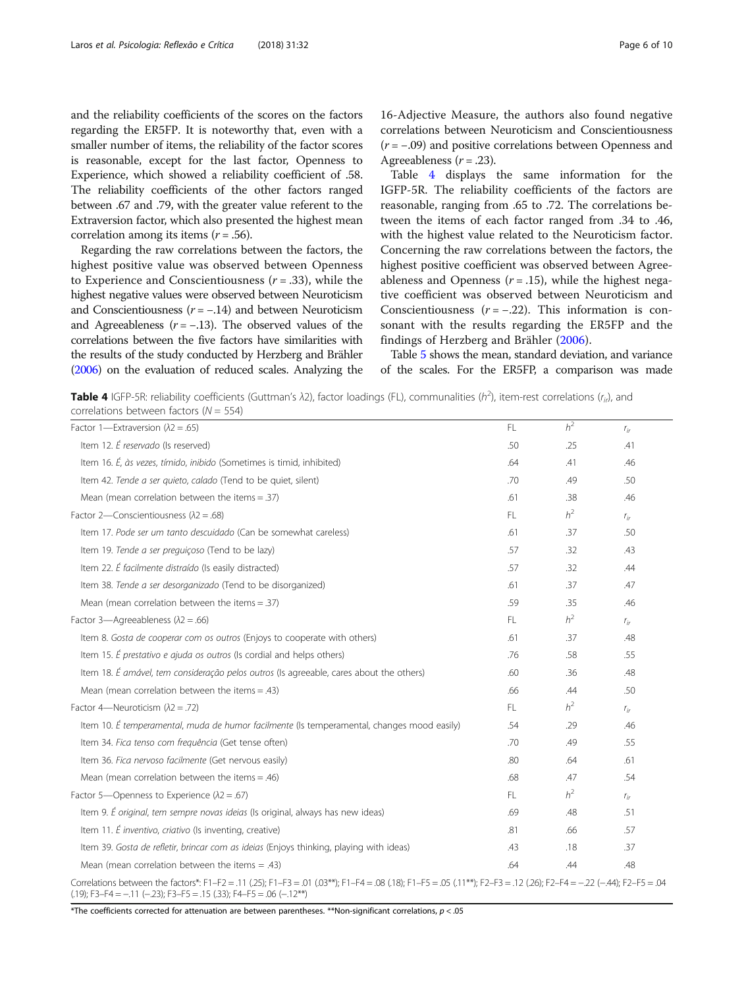and the reliability coefficients of the scores on the factors regarding the ER5FP. It is noteworthy that, even with a smaller number of items, the reliability of the factor scores is reasonable, except for the last factor, Openness to Experience, which showed a reliability coefficient of .58. The reliability coefficients of the other factors ranged between .67 and .79, with the greater value referent to the Extraversion factor, which also presented the highest mean correlation among its items  $(r = .56)$ .

Regarding the raw correlations between the factors, the highest positive value was observed between Openness to Experience and Conscientiousness  $(r = .33)$ , while the highest negative values were observed between Neuroticism and Conscientiousness  $(r = -.14)$  and between Neuroticism and Agreeableness  $(r = -.13)$ . The observed values of the correlations between the five factors have similarities with the results of the study conducted by Herzberg and Brähler ([2006\)](#page-9-0) on the evaluation of reduced scales. Analyzing the

16-Adjective Measure, the authors also found negative correlations between Neuroticism and Conscientiousness  $(r = -.09)$  and positive correlations between Openness and Agreeableness  $(r=.23)$ .

Table 4 displays the same information for the IGFP-5R. The reliability coefficients of the factors are reasonable, ranging from .65 to .72. The correlations between the items of each factor ranged from .34 to .46, with the highest value related to the Neuroticism factor. Concerning the raw correlations between the factors, the highest positive coefficient was observed between Agreeableness and Openness  $(r = .15)$ , while the highest negative coefficient was observed between Neuroticism and Conscientiousness  $(r = -.22)$ . This information is consonant with the results regarding the ER5FP and the findings of Herzberg and Brähler [\(2006](#page-9-0)).

Table [5](#page-6-0) shows the mean, standard deviation, and variance of the scales. For the ER5FP, a comparison was made

**Table 4** IGFP-5R: reliability coefficients (Guttman's  $\lambda$ 2), factor loadings (FL), communalities (h<sup>2</sup>), item-rest correlations (r<sub>ir</sub>), and correlations between factors (N = 554)

| LUITURIUITIS DELVVEETI TAELUIS (IV – JJ-7)                                                                                                                                                                                                      |     |                |          |
|-------------------------------------------------------------------------------------------------------------------------------------------------------------------------------------------------------------------------------------------------|-----|----------------|----------|
| Factor 1-Extraversion ( $\lambda$ 2 = .65)                                                                                                                                                                                                      | FL. | h <sup>2</sup> | $r_{ir}$ |
| Item 12. É reservado (Is reserved)                                                                                                                                                                                                              | .50 | .25            | .41      |
| Item 16. É, às vezes, tímido, inibido (Sometimes is timid, inhibited)                                                                                                                                                                           | .64 | .41            | .46      |
| Item 42. Tende a ser quieto, calado (Tend to be quiet, silent)                                                                                                                                                                                  | .70 | .49            | .50      |
| Mean (mean correlation between the items $= .37$ )                                                                                                                                                                                              | .61 | .38            | .46      |
| Factor 2-Conscientiousness ( $\lambda$ 2 = .68)                                                                                                                                                                                                 | FL. | h <sup>2</sup> | $r_{ir}$ |
| Item 17. Pode ser um tanto descuidado (Can be somewhat careless)                                                                                                                                                                                | .61 | .37            | .50      |
| Item 19. Tende a ser preguiçoso (Tend to be lazy)                                                                                                                                                                                               | .57 | .32            | .43      |
| Item 22. É facilmente distraído (Is easily distracted)                                                                                                                                                                                          | .57 | .32            | .44      |
| Item 38. Tende a ser desorganizado (Tend to be disorganized)                                                                                                                                                                                    | .61 | .37            | .47      |
| Mean (mean correlation between the items $= .37$ )                                                                                                                                                                                              | .59 | .35            | .46      |
| Factor 3-Agreeableness ( $\lambda$ 2 = .66)                                                                                                                                                                                                     | FL. | h <sup>2</sup> | $r_{ir}$ |
| Item 8. Gosta de cooperar com os outros (Enjoys to cooperate with others)                                                                                                                                                                       | .61 | .37            | .48      |
| Item 15. É prestativo e ajuda os outros (Is cordial and helps others)                                                                                                                                                                           | .76 | .58            | .55      |
| Item 18. É amável, tem consideração pelos outros (Is agreeable, cares about the others)                                                                                                                                                         | .60 | .36            | .48      |
| Mean (mean correlation between the items $=$ .43)                                                                                                                                                                                               | .66 | .44            | .50      |
| Factor 4-Neuroticism ( $\lambda$ 2 = .72)                                                                                                                                                                                                       | FL. | h <sup>2</sup> | $r_{ir}$ |
| Item 10. É temperamental, muda de humor facilmente (Is temperamental, changes mood easily)                                                                                                                                                      | .54 | .29            | .46      |
| Item 34. Fica tenso com frequência (Get tense often)                                                                                                                                                                                            | .70 | .49            | .55      |
| Item 36. Fica nervoso facilmente (Get nervous easily)                                                                                                                                                                                           | .80 | .64            | .61      |
| Mean (mean correlation between the items $= .46$ )                                                                                                                                                                                              | .68 | .47            | .54      |
| Factor 5—Openness to Experience ( $\lambda$ 2 = .67)                                                                                                                                                                                            | FL. | h <sup>2</sup> | $r_{ir}$ |
| Item 9. É original, tem sempre novas ideias (Is original, always has new ideas)                                                                                                                                                                 | .69 | .48            | .51      |
| Item 11. É inventivo, criativo (Is inventing, creative)                                                                                                                                                                                         | .81 | .66            | .57      |
| Item 39. Gosta de refletir, brincar com as ideias (Enjoys thinking, playing with ideas)                                                                                                                                                         | .43 | .18            | .37      |
| Mean (mean correlation between the items $= .43$ )                                                                                                                                                                                              | .64 | .44            | .48      |
| Correlations between the factors*: F1-F2 = .11 (.25); F1-F3 = .01 (.03**); F1-F4 = .08 (.18); F1-F5 = .05 (.11**); F2-F3 = .12 (.26); F2-F4 = -22 (-.44); F2-F5 = .04<br>$(.19)$ ; F3-F4 = -.11 (-.23); F3-F5 = .15 (.33); F4-F5 = .06 (-.12**) |     |                |          |

\*The coefficients corrected for attenuation are between parentheses. \*\*Non-significant correlations,  $p < .05$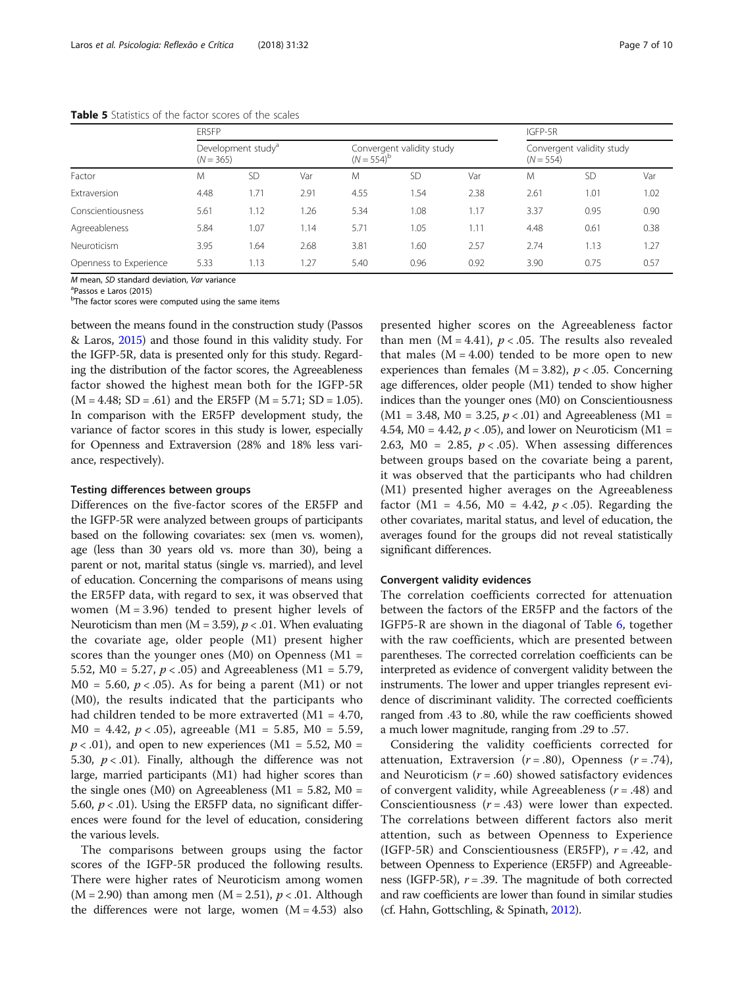|                        | ER5FP       |                                |      |                     |                                                                       |      | IGFP-5R |           |      |  |
|------------------------|-------------|--------------------------------|------|---------------------|-----------------------------------------------------------------------|------|---------|-----------|------|--|
|                        | $(N = 365)$ | Development study <sup>a</sup> |      | $(N = 554)^{\circ}$ | Convergent validity study<br>Convergent validity study<br>$(N = 554)$ |      |         |           |      |  |
| Factor                 | M           | <b>SD</b>                      | Var  | M                   | <b>SD</b>                                                             | Var  | M       | <b>SD</b> | Var  |  |
| Extraversion           | 4.48        | 1.71                           | 2.91 | 4.55                | .54                                                                   | 2.38 | 2.61    | 1.01      | 1.02 |  |
| Conscientiousness      | 5.61        | 1.12                           | .26  | 5.34                | 1.08                                                                  | 1.17 | 3.37    | 0.95      | 0.90 |  |
| Agreeableness          | 5.84        | 1.07                           | l.14 | 5.71                | 1.05                                                                  | 1.11 | 4.48    | 0.61      | 0.38 |  |
| Neuroticism            | 3.95        | 1.64                           | 2.68 | 3.81                | .60                                                                   | 2.57 | 2.74    | 1.13      | 1.27 |  |
| Openness to Experience | 5.33        | 1.13                           | .27  | 5.40                | 0.96                                                                  | 0.92 | 3.90    | 0.75      | 0.57 |  |

<span id="page-6-0"></span>Table 5 Statistics of the factor scores of the scales

M mean, SD standard deviation, Var variance

Passos e Laros (2015)

<sup>b</sup>The factor scores were computed using the same items

between the means found in the construction study (Passos & Laros, [2015\)](#page-9-0) and those found in this validity study. For the IGFP-5R, data is presented only for this study. Regarding the distribution of the factor scores, the Agreeableness factor showed the highest mean both for the IGFP-5R  $(M = 4.48; SD = .61)$  and the ER5FP  $(M = 5.71; SD = 1.05)$ . In comparison with the ER5FP development study, the variance of factor scores in this study is lower, especially for Openness and Extraversion (28% and 18% less variance, respectively).

#### Testing differences between groups

Differences on the five-factor scores of the ER5FP and the IGFP-5R were analyzed between groups of participants based on the following covariates: sex (men vs. women), age (less than 30 years old vs. more than 30), being a parent or not, marital status (single vs. married), and level of education. Concerning the comparisons of means using the ER5FP data, with regard to sex, it was observed that women  $(M = 3.96)$  tended to present higher levels of Neuroticism than men ( $M = 3.59$ ),  $p < .01$ . When evaluating the covariate age, older people (M1) present higher scores than the younger ones  $(M0)$  on Openness  $(M1 =$ 5.52,  $MO = 5.27$ ,  $p < .05$ ) and Agreeableness ( $M1 = 5.79$ ,  $M0 = 5.60, p < .05$ ). As for being a parent (M1) or not (M0), the results indicated that the participants who had children tended to be more extraverted (M1 = 4.70,  $M0 = 4.42, p < .05$ , agreeable  $(M1 = 5.85, M0 = 5.59,$  $p < .01$ ), and open to new experiences (M1 = 5.52, M0 = 5.30,  $p < .01$ ). Finally, although the difference was not large, married participants (M1) had higher scores than the single ones (M0) on Agreeableness (M1 =  $5.82$ , M0 = 5.60,  $p < 0.01$ ). Using the ER5FP data, no significant differences were found for the level of education, considering the various levels.

The comparisons between groups using the factor scores of the IGFP-5R produced the following results. There were higher rates of Neuroticism among women  $(M = 2.90)$  than among men  $(M = 2.51)$ ,  $p < .01$ . Although the differences were not large, women  $(M = 4.53)$  also

presented higher scores on the Agreeableness factor than men ( $M = 4.41$ ),  $p < .05$ . The results also revealed that males  $(M = 4.00)$  tended to be more open to new experiences than females ( $M = 3.82$ ),  $p < .05$ . Concerning age differences, older people (M1) tended to show higher indices than the younger ones (M0) on Conscientiousness  $(M1 = 3.48, M0 = 3.25, p < .01)$  and Agreeableness  $(M1 =$ 4.54,  $M0 = 4.42$ ,  $p < .05$ ), and lower on Neuroticism (M1 = 2.63, M0 = 2.85,  $p < .05$ ). When assessing differences between groups based on the covariate being a parent, it was observed that the participants who had children (M1) presented higher averages on the Agreeableness factor (M1 = 4.56, M0 = 4.42,  $p < .05$ ). Regarding the other covariates, marital status, and level of education, the averages found for the groups did not reveal statistically significant differences.

## Convergent validity evidences

The correlation coefficients corrected for attenuation between the factors of the ER5FP and the factors of the IGFP5-R are shown in the diagonal of Table [6,](#page-7-0) together with the raw coefficients, which are presented between parentheses. The corrected correlation coefficients can be interpreted as evidence of convergent validity between the instruments. The lower and upper triangles represent evidence of discriminant validity. The corrected coefficients ranged from .43 to .80, while the raw coefficients showed a much lower magnitude, ranging from .29 to .57.

Considering the validity coefficients corrected for attenuation, Extraversion  $(r=.80)$ , Openness  $(r=.74)$ , and Neuroticism  $(r = .60)$  showed satisfactory evidences of convergent validity, while Agreeableness  $(r = .48)$  and Conscientiousness  $(r = .43)$  were lower than expected. The correlations between different factors also merit attention, such as between Openness to Experience (IGFP-5R) and Conscientiousness (ER5FP),  $r = .42$ , and between Openness to Experience (ER5FP) and Agreeableness (IGFP-5R),  $r = .39$ . The magnitude of both corrected and raw coefficients are lower than found in similar studies (cf. Hahn, Gottschling, & Spinath, [2012](#page-9-0)).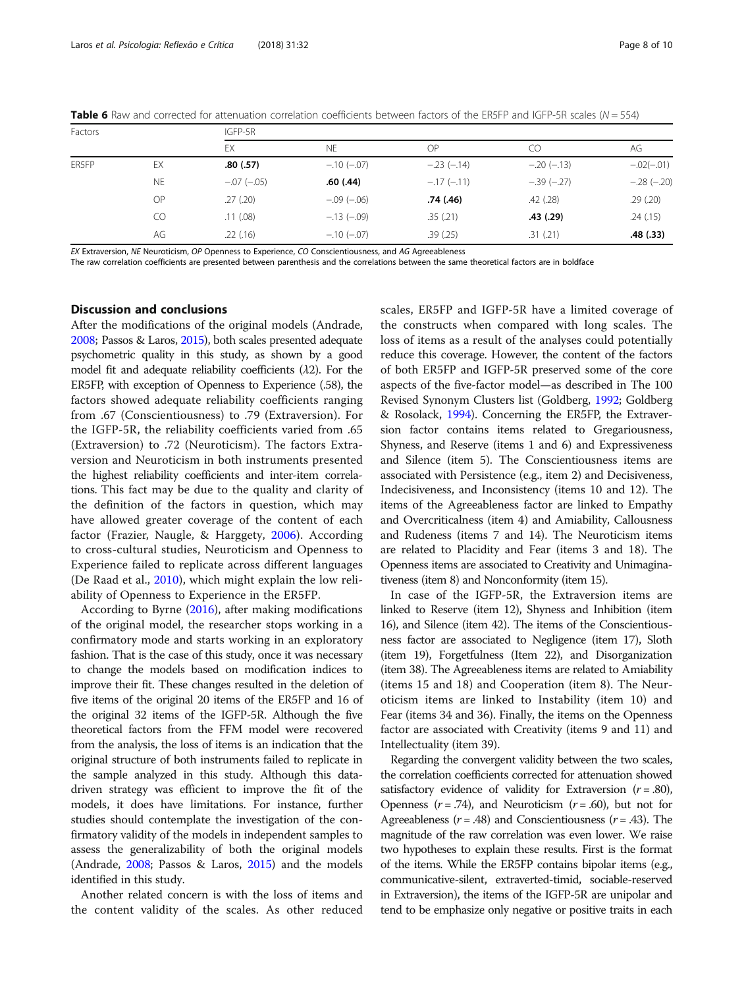<span id="page-7-0"></span>

| <b>Table 6</b> Raw and corrected for attenuation correlation coefficients between factors of the ER5FP and IGFP-5R scales ( $N = 554$ ) |  |  |
|-----------------------------------------------------------------------------------------------------------------------------------------|--|--|
|-----------------------------------------------------------------------------------------------------------------------------------------|--|--|

| Factors |           | IGFP-5R      |              |              |              |              |  |  |  |  |  |
|---------|-----------|--------------|--------------|--------------|--------------|--------------|--|--|--|--|--|
|         |           | EX           | <b>NE</b>    | OP           | CO           | AG           |  |  |  |  |  |
| ER5FP   | EX        | .80(.57)     | $-.10(-.07)$ | $-.23(-.14)$ | $-.20(-.13)$ | $-.02(-.01)$ |  |  |  |  |  |
|         | <b>NE</b> | $-.07(-.05)$ | .60(.44)     | $-.17(-.11)$ | $-.39(-.27)$ | $-.28(-.20)$ |  |  |  |  |  |
|         | OP        | .27(.20)     | $-.09(-.06)$ | .74 (.46)    | .42(.28)     | .29(.20)     |  |  |  |  |  |
|         | CO        | .11(.08)     | $-.13(-.09)$ | .35(.21)     | .43(.29)     | .24(.15)     |  |  |  |  |  |
|         | AG        | .22(.16)     | $-.10(-.07)$ | .39(.25)     | .31(.21)     | .48(.33)     |  |  |  |  |  |

EX Extraversion, NE Neuroticism, OP Openness to Experience, CO Conscientiousness, and AG Agreeableness

The raw correlation coefficients are presented between parenthesis and the correlations between the same theoretical factors are in boldface

## Discussion and conclusions

After the modifications of the original models (Andrade, [2008](#page-9-0); Passos & Laros, [2015](#page-9-0)), both scales presented adequate psychometric quality in this study, as shown by a good model fit and adequate reliability coefficients  $(\lambda 2)$ . For the ER5FP, with exception of Openness to Experience (.58), the factors showed adequate reliability coefficients ranging from .67 (Conscientiousness) to .79 (Extraversion). For the IGFP-5R, the reliability coefficients varied from .65 (Extraversion) to .72 (Neuroticism). The factors Extraversion and Neuroticism in both instruments presented the highest reliability coefficients and inter-item correlations. This fact may be due to the quality and clarity of the definition of the factors in question, which may have allowed greater coverage of the content of each factor (Frazier, Naugle, & Harggety, [2006](#page-9-0)). According to cross-cultural studies, Neuroticism and Openness to Experience failed to replicate across different languages (De Raad et al., [2010](#page-9-0)), which might explain the low reliability of Openness to Experience in the ER5FP.

According to Byrne ([2016\)](#page-9-0), after making modifications of the original model, the researcher stops working in a confirmatory mode and starts working in an exploratory fashion. That is the case of this study, once it was necessary to change the models based on modification indices to improve their fit. These changes resulted in the deletion of five items of the original 20 items of the ER5FP and 16 of the original 32 items of the IGFP-5R. Although the five theoretical factors from the FFM model were recovered from the analysis, the loss of items is an indication that the original structure of both instruments failed to replicate in the sample analyzed in this study. Although this datadriven strategy was efficient to improve the fit of the models, it does have limitations. For instance, further studies should contemplate the investigation of the confirmatory validity of the models in independent samples to assess the generalizability of both the original models (Andrade, [2008](#page-9-0); Passos & Laros, [2015\)](#page-9-0) and the models identified in this study.

Another related concern is with the loss of items and the content validity of the scales. As other reduced scales, ER5FP and IGFP-5R have a limited coverage of the constructs when compared with long scales. The loss of items as a result of the analyses could potentially reduce this coverage. However, the content of the factors of both ER5FP and IGFP-5R preserved some of the core aspects of the five-factor model—as described in The 100 Revised Synonym Clusters list (Goldberg, [1992;](#page-9-0) Goldberg & Rosolack, [1994](#page-9-0)). Concerning the ER5FP, the Extraversion factor contains items related to Gregariousness, Shyness, and Reserve (items 1 and 6) and Expressiveness and Silence (item 5). The Conscientiousness items are associated with Persistence (e.g., item 2) and Decisiveness, Indecisiveness, and Inconsistency (items 10 and 12). The items of the Agreeableness factor are linked to Empathy and Overcriticalness (item 4) and Amiability, Callousness and Rudeness (items 7 and 14). The Neuroticism items are related to Placidity and Fear (items 3 and 18). The Openness items are associated to Creativity and Unimaginativeness (item 8) and Nonconformity (item 15).

In case of the IGFP-5R, the Extraversion items are linked to Reserve (item 12), Shyness and Inhibition (item 16), and Silence (item 42). The items of the Conscientiousness factor are associated to Negligence (item 17), Sloth (item 19), Forgetfulness (Item 22), and Disorganization (item 38). The Agreeableness items are related to Amiability (items 15 and 18) and Cooperation (item 8). The Neuroticism items are linked to Instability (item 10) and Fear (items 34 and 36). Finally, the items on the Openness factor are associated with Creativity (items 9 and 11) and Intellectuality (item 39).

Regarding the convergent validity between the two scales, the correlation coefficients corrected for attenuation showed satisfactory evidence of validity for Extraversion  $(r = .80)$ , Openness  $(r = .74)$ , and Neuroticism  $(r = .60)$ , but not for Agreeableness ( $r = .48$ ) and Conscientiousness ( $r = .43$ ). The magnitude of the raw correlation was even lower. We raise two hypotheses to explain these results. First is the format of the items. While the ER5FP contains bipolar items (e.g., communicative-silent, extraverted-timid, sociable-reserved in Extraversion), the items of the IGFP-5R are unipolar and tend to be emphasize only negative or positive traits in each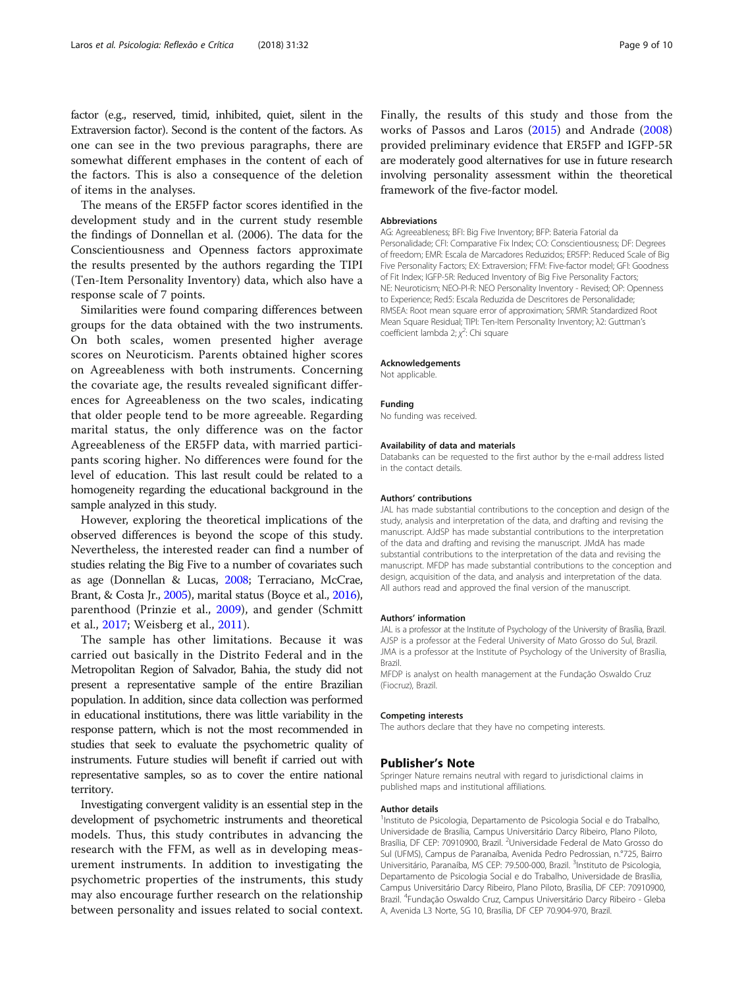factor (e.g., reserved, timid, inhibited, quiet, silent in the Extraversion factor). Second is the content of the factors. As one can see in the two previous paragraphs, there are somewhat different emphases in the content of each of the factors. This is also a consequence of the deletion of items in the analyses.

The means of the ER5FP factor scores identified in the development study and in the current study resemble the findings of Donnellan et al. (2006). The data for the Conscientiousness and Openness factors approximate the results presented by the authors regarding the TIPI (Ten-Item Personality Inventory) data, which also have a response scale of 7 points.

Similarities were found comparing differences between groups for the data obtained with the two instruments. On both scales, women presented higher average scores on Neuroticism. Parents obtained higher scores on Agreeableness with both instruments. Concerning the covariate age, the results revealed significant differences for Agreeableness on the two scales, indicating that older people tend to be more agreeable. Regarding marital status, the only difference was on the factor Agreeableness of the ER5FP data, with married participants scoring higher. No differences were found for the level of education. This last result could be related to a homogeneity regarding the educational background in the sample analyzed in this study.

However, exploring the theoretical implications of the observed differences is beyond the scope of this study. Nevertheless, the interested reader can find a number of studies relating the Big Five to a number of covariates such as age (Donnellan & Lucas, [2008](#page-9-0); Terraciano, McCrae, Brant, & Costa Jr., [2005](#page-9-0)), marital status (Boyce et al., [2016](#page-9-0)), parenthood (Prinzie et al., [2009](#page-9-0)), and gender (Schmitt et al., [2017;](#page-9-0) Weisberg et al., [2011\)](#page-9-0).

The sample has other limitations. Because it was carried out basically in the Distrito Federal and in the Metropolitan Region of Salvador, Bahia, the study did not present a representative sample of the entire Brazilian population. In addition, since data collection was performed in educational institutions, there was little variability in the response pattern, which is not the most recommended in studies that seek to evaluate the psychometric quality of instruments. Future studies will benefit if carried out with representative samples, so as to cover the entire national territory.

Investigating convergent validity is an essential step in the development of psychometric instruments and theoretical models. Thus, this study contributes in advancing the research with the FFM, as well as in developing measurement instruments. In addition to investigating the psychometric properties of the instruments, this study may also encourage further research on the relationship between personality and issues related to social context. Finally, the results of this study and those from the works of Passos and Laros ([2015](#page-9-0)) and Andrade [\(2008](#page-9-0)) provided preliminary evidence that ER5FP and IGFP-5R are moderately good alternatives for use in future research involving personality assessment within the theoretical framework of the five-factor model.

#### Abbreviations

AG: Agreeableness; BFI: Big Five Inventory; BFP: Bateria Fatorial da Personalidade; CFI: Comparative Fix Index; CO: Conscientiousness; DF: Degrees of freedom; EMR: Escala de Marcadores Reduzidos; ER5FP: Reduced Scale of Big Five Personality Factors; EX: Extraversion; FFM: Five-factor model; GFI: Goodness of Fit Index; IGFP-5R: Reduced Inventory of Big Five Personality Factors; NE: Neuroticism; NEO-PI-R: NEO Personality Inventory - Revised; OP: Openness to Experience; Red5: Escala Reduzida de Descritores de Personalidade; RMSEA: Root mean square error of approximation; SRMR: Standardized Root Mean Square Residual; TIPI: Ten-Item Personality Inventory; λ2: Guttman's coefficient lambda 2;  $\chi^2$ : Chi square

#### Acknowledgements

Not applicable.

#### Funding

No funding was received.

#### Availability of data and materials

Databanks can be requested to the first author by the e-mail address listed in the contact details.

#### Authors' contributions

JAL has made substantial contributions to the conception and design of the study, analysis and interpretation of the data, and drafting and revising the manuscript. AJdSP has made substantial contributions to the interpretation of the data and drafting and revising the manuscript. JMdA has made substantial contributions to the interpretation of the data and revising the manuscript. MFDP has made substantial contributions to the conception and design, acquisition of the data, and analysis and interpretation of the data. All authors read and approved the final version of the manuscript.

#### Authors' information

JAL is a professor at the Institute of Psychology of the University of Brasília, Brazil. AJSP is a professor at the Federal University of Mato Grosso do Sul, Brazil. JMA is a professor at the Institute of Psychology of the University of Brasília, Brazil.

MFDP is analyst on health management at the Fundação Oswaldo Cruz (Fiocruz), Brazil.

#### Competing interests

The authors declare that they have no competing interests.

#### Publisher's Note

Springer Nature remains neutral with regard to jurisdictional claims in published maps and institutional affiliations.

#### Author details

<sup>1</sup>Instituto de Psicologia, Departamento de Psicologia Social e do Trabalho, Universidade de Brasília, Campus Universitário Darcy Ribeiro, Plano Piloto, Brasília, DF CEP: 70910900, Brazil. <sup>2</sup>Universidade Federal de Mato Grosso do Sul (UFMS), Campus de Paranaíba, Avenida Pedro Pedrossian, n.°725, Bairro Universitário, Paranaíba, MS CEP: 79.500-000, Brazil. <sup>3</sup>Instituto de Psicologia, Departamento de Psicologia Social e do Trabalho, Universidade de Brasília, Campus Universitário Darcy Ribeiro, Plano Piloto, Brasília, DF CEP: 70910900, Brazil. <sup>4</sup>Fundação Oswaldo Cruz, Campus Universitário Darcy Ribeiro - Gleba A, Avenida L3 Norte, SG 10, Brasília, DF CEP 70.904-970, Brazil.